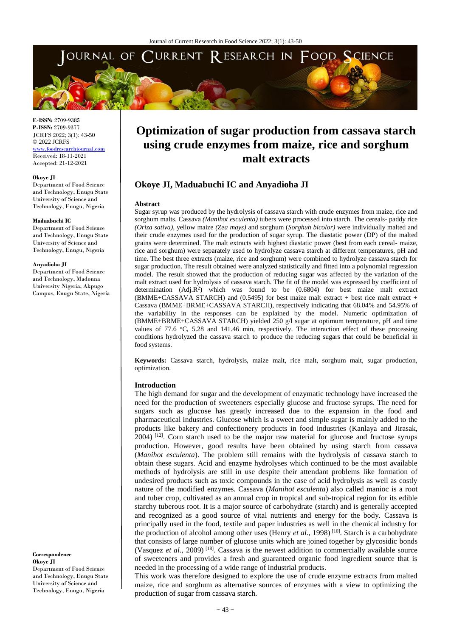

**E-ISSN:** 2709-9385 **P-ISSN:** 2709-9377 JCRFS 2022; 3(1): 43-50 © 2022 JCRFS <www.foodresearchjournal.com> Received: 18-11-2021 Accepted: 21-12-2021

#### **Okoye JI**

Department of Food Science and Technology, Enugu State University of Science and Technology, Enugu, Nigeria

#### **Maduabuchi IC**

Department of Food Science and Technology, Enugu State University of Science and Technology, Enugu, Nigeria

#### **Anyadioha JI**

Department of Food Science and Technology, Madonna University Nigeria, Akpugo Campus, Enugu State, Nigeria

#### **Correspondence Okoye JI**

Department of Food Science and Technology, Enugu State University of Science and Technology, Enugu, Nigeria

# **Optimization of sugar production from cassava starch using crude enzymes from maize, rice and sorghum malt extracts**

# **Okoye JI, Maduabuchi IC and Anyadioha JI**

#### **Abstract**

Sugar syrup was produced by the hydrolysis of cassava starch with crude enzymes from maize, rice and sorghum malts. Cassava *(Manihot esculenta)* tubers were processed into starch. The cereals- paddy rice *(Oriza sativa)*, yellow maize *(Zea mays)* and sorghum (*Sorghuh bicolor)* were individually malted and their crude enzymes used for the production of sugar syrup. The diastatic power (DP) of the malted grains were determined. The malt extracts with highest diastatic power (best from each cereal- maize, rice and sorghum) were separately used to hydrolyze cassava starch at different temperatures, pH and time. The best three extracts (maize, rice and sorghum) were combined to hydrolyze cassava starch for sugar production. The result obtained were analyzed statistically and fitted into a polynomial regression model. The result showed that the production of reducing sugar was affected by the variation of the malt extract used for hydrolysis of cassava starch. The fit of the model was expressed by coefficient of determination  $(Adj.R^2)$  which was found to be  $(0.6804)$  for best maize malt extract (BMME+CASSAVA STARCH) and (0.5495) for best maize malt extract + best rice malt extract + Cassava (BMME+BRME+CASSAVA STARCH), respectively indicating that 68.04% and 54.95% of the variability in the responses can be explained by the model. Numeric optimization of (BMME+BRME+CASSAVA STARCH) yielded 250 g/l sugar at optimum temperature, pH and time values of 77.6 °C, 5.28 and 141.46 min, respectively. The interaction effect of these processing conditions hydrolyzed the cassava starch to produce the reducing sugars that could be beneficial in food systems.

**Keywords:** Cassava starch, hydrolysis, maize malt, rice malt, sorghum malt, sugar production, optimization.

#### **Introduction**

The high demand for sugar and the development of enzymatic technology have increased the need for the production of sweeteners especially glucose and fructose syrups. The need for sugars such as glucose has greatly increased due to the expansion in the food and pharmaceutical industries. Glucose which is a sweet and simple sugar is mainly added to the products like bakery and confectionery products in food industries (Kanlaya and Jirasak, 2004)<sup>[12]</sup>. Corn starch used to be the major raw material for glucose and fructose syrups production. However, good results have been obtained by using starch from cassava (*Manihot esculenta*). The problem still remains with the hydrolysis of cassava starch to obtain these sugars. Acid and enzyme hydrolyses which continued to be the most available methods of hydrolysis are still in use despite their attendant problems like formation of undesired products such as toxic compounds in the case of acid hydrolysis as well as costly nature of the modified enzymes. Cassava (*Manihot esculenta*) also called manioc is a root and tuber crop, cultivated as an annual crop in tropical and sub-tropical region for its edible starchy tuberous root. It is a major source of carbohydrate (starch) and is generally accepted and recognized as a good source of vital nutrients and energy for the body. Cassava is principally used in the food, textile and paper industries as well in the chemical industry for the production of alcohol among other uses (Henry *et al.*, 1998)<sup>[10]</sup>. Starch is a carbohydrate that consists of large number of glucose units which are joined together by glycosidic bonds (Vasquez *et al.,* 2009) [18] . Cassava is the newest addition to commercially available source of sweeteners and provides a fresh and guaranteed organic food ingredient source that is needed in the processing of a wide range of industrial products.

This work was therefore designed to explore the use of crude enzyme extracts from malted maize, rice and sorghum as alternative sources of enzymes with a view to optimizing the production of sugar from cassava starch.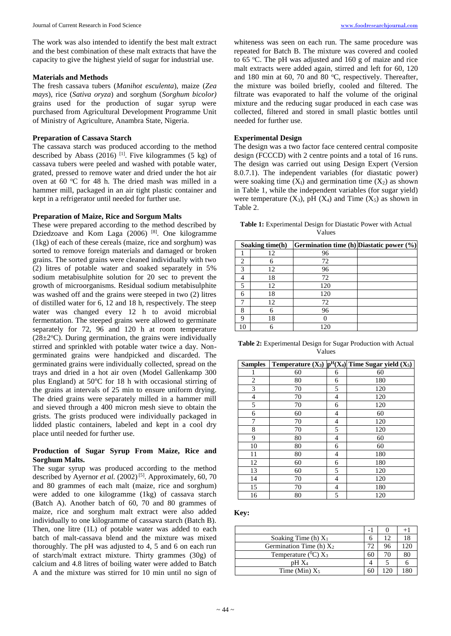The work was also intended to identify the best malt extract and the best combination of these malt extracts that have the capacity to give the highest yield of sugar for industrial use.

### **Materials and Methods**

The fresh cassava tubers (*Manihot esculenta*), maize (*Zea mays*), rice (*Sativa oryza*) and sorghum (*Sorghum bicolor)* grains used for the production of sugar syrup were purchased from Agricultural Development Programme Unit of Ministry of Agriculture, Anambra State, Nigeria.

## **Preparation of Cassava Starch**

The cassava starch was produced according to the method described by Abass  $(2016)$ <sup>[1]</sup>. Five kilogrammes  $(5 \text{ kg})$  of cassava tubers were peeled and washed with potable water, grated, pressed to remove water and dried under the hot air oven at  $60^{\circ}$ C for 48 h. The dried mash was milled in a hammer mill, packaged in an air tight plastic container and kept in a refrigerator until needed for further use.

## **Preparation of Maize, Rice and Sorgum Malts**

These were prepared according to the method described by Dziedzoave and Kom Laga (2006) <sup>[8]</sup>. One kilogramme (1kg) of each of these cereals (maize, rice and sorghum) was sorted to remove foreign materials and damaged or broken grains. The sorted grains were cleaned individually with two (2) litres of potable water and soaked separately in 5% sodium metabisulphite solution for 20 sec to prevent the growth of microorganisms. Residual sodium metabisulphite was washed off and the grains were steeped in two  $(2)$  litres of distilled water for 6, 12 and 18 h, respectively. The steep water was changed every 12 h to avoid microbial fermentation. The steeped grains were allowed to germinate separately for 72, 96 and 120 h at room temperature  $(28\pm2$ <sup>o</sup>C). During germination, the grains were individually stirred and sprinkled with potable water twice a day. Nongerminated grains were handpicked and discarded. The germinated grains were individually collected, spread on the trays and dried in a hot air oven (Model Gallenkamp 300 plus England) at  $50^{\circ}$ C for 18 h with occasional stirring of the grains at intervals of 25 min to ensure uniform drying. The dried grains were separately milled in a hammer mill and sieved through a 400 micron mesh sieve to obtain the grists. The grists produced were individually packaged in lidded plastic containers, labeled and kept in a cool dry place until needed for further use.

## **Production of Sugar Syrup From Maize, Rice and Sorghum Malts.**

The sugar syrup was produced according to the method described by Ayernor *et al.* (2002)<sup>[5]</sup>. Approximately, 60, 70 and 80 grammes of each malt (maize, rice and sorghum) were added to one kilogramme (1kg) of cassava starch (Batch A). Another batch of 60, 70 and 80 grammes of maize, rice and sorghum malt extract were also added individually to one kilogramme of cassava starch (Batch B). Then, one litre (1L) of potable water was added to each batch of malt-cassava blend and the mixture was mixed thoroughly. The pH was adjusted to 4, 5 and 6 on each run of starch/malt extract mixture. Thirty grammes (30g) of calcium and 4.8 litres of boiling water were added to Batch A and the mixture was stirred for 10 min until no sign of

whiteness was seen on each run. The same procedure was repeated for Batch B. The mixture was covered and cooled to 65 °C. The pH was adjusted and 160 g of maize and rice malt extracts were added again, stirred and left for 60, 120 and 180 min at 60, 70 and 80  $^{\circ}$ C, respectively. Thereafter, the mixture was boiled briefly, cooled and filtered. The filtrate was evaporated to half the volume of the original mixture and the reducing sugar produced in each case was collected, filtered and stored in small plastic bottles until needed for further use.

## **Experimental Design**

The design was a two factor face centered central composite design (FCCCD) with 2 centre points and a total of 16 runs. The design was carried out using Design Expert (Version 8.0.7.1). The independent variables (for diastatic power) were soaking time  $(X<sub>1</sub>)$  and germination time  $(X<sub>2</sub>)$  as shown in Table 1, while the independent variables (for sugar yield) were temperature  $(X_3)$ , pH  $(X_4)$  and Time  $(X_5)$  as shown in Table 2.

**Table 1:** Experimental Design for Diastatic Power with Actual Values

|                | Soaking time(h) | Germination time (h) Diastatic power (%) |  |
|----------------|-----------------|------------------------------------------|--|
|                | 12              | 96                                       |  |
| $\mathfrak{D}$ |                 | 72                                       |  |
| $\mathcal{R}$  | 12              | 96                                       |  |
|                | 18              | 72                                       |  |
|                | 12              | 120                                      |  |
|                | 18              | 120                                      |  |
|                | 12              | 72                                       |  |
| 8              |                 | 96                                       |  |
| Ω              | 18              |                                          |  |
|                |                 |                                          |  |

| <b>Table 2:</b> Experimental Design for Sugar Production with Actual |  |
|----------------------------------------------------------------------|--|
| Values                                                               |  |

| <b>Samples</b> |    |   | Temperature $(X_3)$ $p^H(X_4)$ Time Sugar yield $(X_5)$ |
|----------------|----|---|---------------------------------------------------------|
| 1              | 60 | 6 | 60                                                      |
| 2              | 80 | 6 | 180                                                     |
| 3              | 70 | 5 | 120                                                     |
| $\overline{4}$ | 70 | 4 | 120                                                     |
| 5              | 70 | 6 | 120                                                     |
| 6              | 60 | 4 | 60                                                      |
| 7              | 70 | 4 | 120                                                     |
| 8              | 70 | 5 | 120                                                     |
| 9              | 80 | 4 | 60                                                      |
| 10             | 80 | 6 | 60                                                      |
| 11             | 80 | 4 | 180                                                     |
| 12             | 60 | 6 | 180                                                     |
| 13             | 60 | 5 | 120                                                     |
| 14             | 70 | 4 | 120                                                     |
| 15             | 70 | 4 | 180                                                     |
| 16             | 80 | 5 | 120                                                     |

**Key:**

|                            |    |    | $+$ |
|----------------------------|----|----|-----|
| Soaking Time (h) $X_1$     | n  | 12 | 18  |
| Germination Time (h) $X_2$ |    | 96 |     |
| Temperature $(^0C)X_3$     | 60 | 70 | 80  |
| $pH X_4$                   |    |    |     |
| Time (Min) $X_5$           |    |    |     |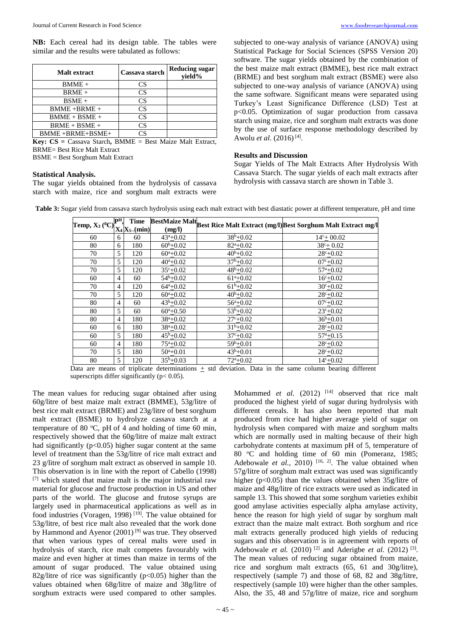**NB:** Each cereal had its design table. The tables were similar and the results were tabulated as follows:

| Malt extract    | Cassava starch | <b>Reducing sugar</b><br>vield% |
|-----------------|----------------|---------------------------------|
| $BMME +$        | CS             |                                 |
| $BRME +$        | CS             |                                 |
| $BSME +$        | CS             |                                 |
| $BMME + BRME +$ | CS             |                                 |
| $BMME + BSME +$ | CS             |                                 |
| $BRME + BSME +$ | CS             |                                 |
| BMME+BRME+BSME+ |                |                                 |

**Key: CS =** Cassava Starch**,** BMME = Best Maize Malt Extract, BRME= Best Rice Malt Extract

BSME = Best Sorghum Malt Extract

## **Statistical Analysis.**

The sugar yields obtained from the hydrolysis of cassava starch with maize, rice and sorghum malt extracts were subjected to one-way analysis of variance (ANOVA) using Statistical Package for Social Sciences (SPSS Version 20) software. The sugar yields obtained by the combination of the best maize malt extract (BMME), best rice malt extract (BRME) and best sorghum malt extract (BSME) were also subjected to one-way analysis of variance (ANOVA) using the same software. Significant means were separated using Turkey's Least Significance Difference (LSD) Test at p<0.05. Optimization of sugar production from cassava starch using maize, rice and sorghum malt extracts was done by the use of surface response methodology described by Awolu *et al.* (2016)<sup>[4]</sup>.

## **Results and Discussion**

Sugar Yields of The Malt Extracts After Hydrolysis With Cassava Starch. The sugar yields of each malt extracts after hydrolysis with cassava starch are shown in Table 3.

|--|

**Table 3:** Sugar yield from cassava starch hydrolysis using each malt extract with best diastatic power at different temperature, pH and time

| Temp, $X_3$ ( <sup>0</sup> C) <sub>*</sub> , |                | Time           |                                   |                          | BestMaize Malt Best Rice Malt Extract (mg/l) Best Sorghum Malt Extract mg/l |
|----------------------------------------------|----------------|----------------|-----------------------------------|--------------------------|-----------------------------------------------------------------------------|
|                                              |                | $X_4X_5$ (min) | (mg/l)                            |                          |                                                                             |
| 60                                           | 6              | 60             | $43^a + 0.02$                     | $38^{b} + 0.02$          | $14^c + 00.02$                                                              |
| 80                                           | 6              | 180            | $60^{b} + 0.02$                   | $82^a + 0.02$            | $38^{\circ}$ + 0.02                                                         |
| 70                                           | 5              | 120            | $60^{\circ}+0.02$                 | $40^{b} + 0.02$          | $28c + 0.02$                                                                |
| 70                                           | 5              | 120            | $40^a + 0.02$                     | $37^b + 0.02$            | $07c + 0.02$                                                                |
| 70                                           | 5              | 120            | $35^{\circ}+0.02$                 | $48^{b} + 0.02$          | $57^{\rm a} + 0.02$                                                         |
| 60                                           | $\overline{4}$ | 60             | $\frac{1}{54}$ <sup>b</sup> +0.02 | $61^a + 0.02$            | $16^{\circ}+0.02$                                                           |
| 70                                           | $\overline{4}$ | 120            | $64^a + 0.02$                     | $61^{b}+0.02$            | $30^{\circ}+0.02$                                                           |
| 70                                           | 5              | 120            | $60^a + 0.02$                     | $40^{b} + 0.02$          | $28c + 0.02$                                                                |
| 80                                           | 4              | 60             | $43^{b} + 0.02$                   | $56^{\mathrm{a}} + 0.02$ | $07c + 0.02$                                                                |
| 80                                           | 5              | 60             | $60^a + 0.50$                     | $53^b + 0.02$            | $23^{\circ}+0.02$                                                           |
| 80                                           | $\overline{4}$ | 180            | $38^a + 0.02$                     | $27c + 0.02$             | $36^{b} + 0.01$                                                             |
| 60                                           | 6              | 180            | $38^a + 0.02$                     | $31b+0.02$               | $28c + 0.02$                                                                |
| 60                                           | 5              | 180            | $45^{\rm b}+0.02$                 | $37^{\circ}+0.02$        | $57^{\mathrm{a}} + 0.15$                                                    |
| 60                                           | $\overline{4}$ | 180            | $75^{\circ}+0.02$                 | $59^b + 0.01$            | $28c + 0.02$                                                                |
| 70                                           | 5              | 180            | $50^a + 0.01$                     | $43^{b}+0.01$            | $28c + 0.02$                                                                |
| 80                                           | 5              | 120            | $35^{b} + 0.03$                   | $72^a + 0.02$            | $14^c + 0.02$                                                               |

Data are means of triplicate determinations + std deviation. Data in the same column bearing different superscripts differ significantly (p< 0.05).

The mean values for reducing sugar obtained after using 60g/litre of best maize malt extract (BMME), 53g/litre of best rice malt extract (BRME) and 23g/litre of best sorghum malt extract (BSME) to hydrolyze cassava starch at a temperature of 80  $^{\circ}$ C, pH of 4 and holding of time 60 min, respectively showed that the 60g/litre of maize malt extract had significantly ( $p<0.05$ ) higher sugar content at the same level of treatment than the 53g/litre of rice malt extract and 23 g/litre of sorghum malt extract as observed in sample 10. This observation is in line with the report of Cabello (1998) [7] which stated that maize malt is the major industrial raw material for glucose and fructose production in US and other parts of the world. The glucose and frutose syrups are largely used in pharmaceutical applications as well as in food industries (Voragen, 1998)<sup>[19]</sup>. The value obtained for 53g/litre, of best rice malt also revealed that the work done by Hammond and Ayenor (2001)<sup>[9]</sup> was true. They observed that when various types of cereal malts were used in hydrolysis of starch, rice malt competes favourably with maize and even higher at times than maize in terms of the amount of sugar produced. The value obtained using 82g/litre of rice was significantly  $(p<0.05)$  higher than the values obtained when 68g/litre of maize and 38g/litre of sorghum extracts were used compared to other samples.

Mohammed *et al.* (2012) <sup>[14]</sup> observed that rice malt produced the highest yield of sugar during hydrolysis with different cereals. It has also been reported that malt produced from rice had higher average yield of sugar on hydrolysis when compared with maize and sorghum malts which are normally used in malting because of their high carbohydrate contents at maximum pH of 5, temperature of 80 °C and holding time of 60 min (Pomeranz, 1985; Adebowale *et al.*, 2010)<sup>[16, 2]</sup>. The value obtained when 57g/litre of sorghum malt extract was used was significantly higher (p<0.05) than the values obtained when 35g/litre of maize and 48g/litre of rice extracts were used as indicated in sample 13. This showed that some sorghum varieties exhibit good amylase activities especially alpha amylase activity, hence the reason for high yield of sugar by sorghum malt extract than the maize malt extract. Both sorghum and rice malt extracts generally produced high yields of reducing sugars and this observation is in agreement with reports of Adebowale *et al.* (2010)<sup>[2]</sup> and Aderigbe *et al.* (2012)<sup>[3]</sup>. The mean values of reducing sugar obtained from maize, rice and sorghum malt extracts (65, 61 and 30g/litre), respectively (sample 7) and those of 68, 82 and 38g/litre, respectively (sample 10) were higher than the other samples. Also, the 35, 48 and 57g/litre of maize, rice and sorghum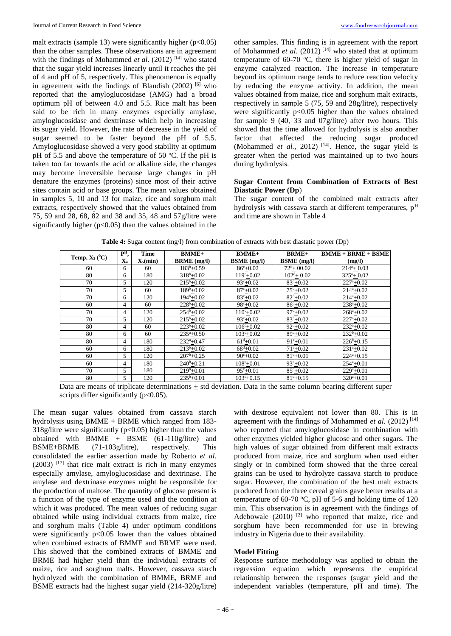malt extracts (sample 13) were significantly higher  $(p<0.05)$ than the other samples. These observations are in agreement with the findings of Mohammed *et al.* (2012)<sup>[14]</sup> who stated that the sugar yield increases linearly until it reaches the pH of 4 and pH of 5, respectively. This phenomenon is equally in agreement with the findings of Blandish  $(2002)$  [6] who reported that the amyloglucosidase (AMG) had a broad optimum pH of between 4.0 and 5.5. Rice malt has been said to be rich in many enzymes especially amylase, amyloglucosidase and dextrinase which help in increasing its sugar yield. However, the rate of decrease in the yield of sugar seemed to be faster beyond the pH of 5.5. Amyloglucosidase showed a very good stability at optimum pH of 5.5 and above the temperature of 50  $\degree$ C. If the pH is taken too far towards the acid or alkaline side, the changes may become irreversible because large changes in pH denature the enzymes (proteins) since most of their active sites contain acid or base groups. The mean values obtained

in samples 5, 10 and 13 for maize, rice and sorghum malt extracts, respectively showed that the values obtained from 75, 59 and 28, 68, 82 and 38 and 35, 48 and 57g/litre were significantly higher  $(p<0.05)$  than the values obtained in the

other samples. This finding is in agreement with the report of Mohammed *et al.* (2012)<sup>[14]</sup> who stated that at optimum temperature of 60-70  $^{\circ}$ C, there is higher yield of sugar in enzyme catalyzed reaction. The increase in temperature beyond its optimum range tends to reduce reaction velocity by reducing the enzyme activity. In addition, the mean values obtained from maize, rice and sorghum malt extracts, respectively in sample 5 (75, 59 and 28g/litre), respectively were significantly  $p<0.05$  higher than the values obtained for sample 9 (40, 33 and  $07g/litre$ ) after two hours. This showed that the time allowed for hydrolysis is also another factor that affected the reducing sugar produced (Mohammed *et al.*, 2012)<sup>[14]</sup>. Hence, the sugar yield is greater when the period was maintained up to two hours during hydrolysis.

## **Sugar Content from Combination of Extracts of Best Diastatic Power (Dp**)

The sugar content of the combined malt extracts after hydrolysis with cassava starch at different temperatures,  $p<sup>H</sup>$ and time are shown in Table 4

| Temp, $X_3(^0C)$ | $\overline{P^H}$ ,          | Time                 | <b>BMME+</b>                                                                                                    | <b>BMME+</b>                | <b>BRME+</b>            | $BMME + BRME + BSME$      |
|------------------|-----------------------------|----------------------|-----------------------------------------------------------------------------------------------------------------|-----------------------------|-------------------------|---------------------------|
|                  | $\mathbf{X}_4$              | $X_5$ (min)          | $BRME$ (mg/l)                                                                                                   | <b>BSME</b> (mg/l)          | <b>BSME</b> (mg/l)      | (mg/l)                    |
| 60               | 6                           | 60                   | $183^b + 0.59$                                                                                                  | $86^{\circ}+0.02$           | $72^{\text{d}} + 00.02$ | $214^a + 0.03$            |
| 80               | 6                           | 180                  | $318^b + 0.02$                                                                                                  | $119^{\circ}+0.02$          | $102^d + 0.02$          | $325^{\mathrm{a}} + 0.02$ |
| 70               | 5                           | 120                  | $215^b + 0.02$                                                                                                  | $93^{\circ}+0.02$           | $83^{\rm d}+0.02$       | $227^{\mathrm{a}}+0.02$   |
| 70               | 5                           | 60                   | $189^b + 0.02$                                                                                                  | $87^{\circ}+0.02$           | $75^{\rm d} + 0.02$     | $214^a + 0.02$            |
| 70               | 6                           | 120                  | $194^b + 0.02$                                                                                                  | $83^{\circ}+0.02$           | $82^{\rm d} + 0.02$     | $214^a + 0.02$            |
| 60               | 4                           | 60                   | $228^b + 0.02$                                                                                                  | $98^{\circ}+0.02$           | $86^{\rm d} + 0.02$     | $238^a + 0.02$            |
| 70               | 4                           | 120                  | $254^b + 0.02$                                                                                                  | $110^{\circ}+0.02$          | $97^{\rm d} + 0.02$     | $268^{\mathrm{a}} + 0.02$ |
| 70               | 5                           | 120                  | $215^b + 0.02$                                                                                                  | $93^{\circ}+0.02$           | $83^{\rm d}+0.02$       | $227^{\mathrm{a}}+0.02$   |
| 80               | 4                           | 60                   | $223^b + 0.02$                                                                                                  | $106^{\circ}+0.02$          | $92^{\rm d} + 0.02$     | $232^a + 0.02$            |
| 80               | 6                           | 60                   | $235^{\mathrm{a}} + 0.50$                                                                                       | $103^{\circ}+0.02$          | $89^{\rm d} + 0.02$     | $232^b + 0.02$            |
| 80               | 4                           | 180                  | $232^a + 0.47$                                                                                                  | $61^{\rm d} + 0.01$         | $91^{\circ}+0.01$       | $226^b + 0.15$            |
| 60               | 6                           | 180                  | $213^b + 0.02$                                                                                                  | $68^{\rm d} + 0.02$         | $71^{\circ}+0.02$       | $231^a + 0.02$            |
| 60               | 5                           | 120                  | $207^b + 0.25$                                                                                                  | $90^{\circ}+0.02$           | $81^{\text{d}} + 0.01$  | $224^a + 0.15$            |
| 60               | 4                           | 180                  | $240^b + 0.21$                                                                                                  | $108^{\circ}+0.01$          | $93^d + 0.02$           | $254^{\circ}+0.01$        |
| 70               | 5                           | 180                  | $219^b + 0.01$                                                                                                  | $95^{\circ}+0.01$           | $85^{\rm d} + 0.02$     | $229^a + 0.01$            |
| 80               | 5                           | 120                  | $235^b + 0.01$                                                                                                  | $103^{\circ}+0.15$          | $81^{\rm d} + 0.15$     | $320^a + 0.01$            |
| n.,              | $\sim$ $\sim$ $\sim$ $\sim$ | $\sim$ $\sim$ $\sim$ | the contract of the contract of the contract of the contract of the contract of the contract of the contract of | $\sim$ $\sim$ $\sim$ $\sim$ | $\blacksquare$          | $\blacksquare$<br>1.00    |

**Table 4:** Sugar content (mg/l) from combination of extracts with best diastatic power (Dp)

Data are means of triplicate determinations  $\pm$  std deviation. Data in the same column bearing different super scripts differ significantly ( $p<0.05$ ).

The mean sugar values obtained from cassava starch hydrolysis using BMME + BRME which ranged from 183- 318g/litre were significantly  $(p<0.05)$  higher than the values obtained with BMME + BSME (61-110g/litre) and BSME+BRME (71-103g/litre), respectively. This consolidated the earlier assertion made by Roberto *et al.*   $(2003)$ <sup>[17]</sup> that rice malt extract is rich in many enzymes especially amylase, amyloglucosidase and dextrinase. The amylase and dextrinase enzymes might be responsible for the production of maltose. The quantity of glucose present is a function of the type of enzyme used and the condition at which it was produced. The mean values of reducing sugar obtained while using individual extracts from maize, rice and sorghum malts (Table 4) under optimum conditions were significantly  $p<0.05$  lower than the values obtained when combined extracts of BMME and BRME were used. This showed that the combined extracts of BMME and BRME had higher yield than the individual extracts of maize, rice and sorghum malts. However, cassava starch hydrolyzed with the combination of BMME, BRME and BSME extracts had the highest sugar yield (214-320g/litre)

with dextrose equivalent not lower than 80. This is in agreement with the findings of Mohammed et al. (2012)<sup>[14]</sup> who reported that amyloglucosidase in combination with other enzymes yielded higher glucose and other sugars. The high values of sugar obtained from different malt extracts produced from maize, rice and sorghum when used either singly or in combined form showed that the three cereal grains can be used to hydrolyze cassava starch to produce sugar. However, the combination of the best malt extracts produced from the three cereal grains gave better results at a temperature of 60-70 °C, pH of 5-6 and holding time of 120 min. This observation is in agreement with the findings of Adebowale  $(2010)$ <sup>[2]</sup> who reported that maize, rice and sorghum have been recommended for use in brewing industry in Nigeria due to their availability.

## **Model Fitting**

Response surface methodology was applied to obtain the regression equation which represents the empirical relationship between the responses (sugar yield and the independent variables (temperature, pH and time). The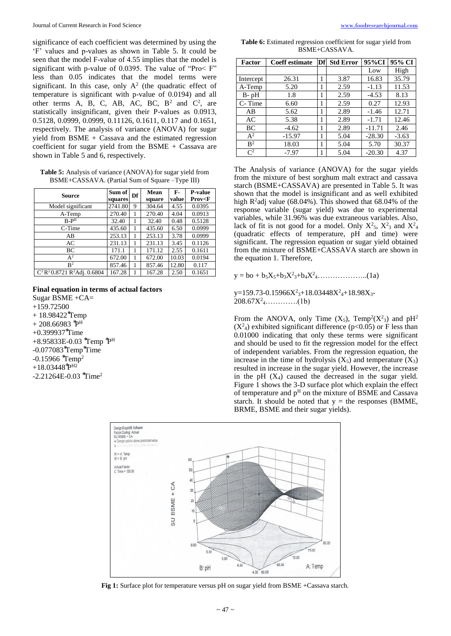significance of each coefficient was determined by using the 'F' values and p-values as shown in Table 5. It could be seen that the model F-value of 4.55 implies that the model is significant with p-value of 0.0395. The value of "Pro< F" less than 0.05 indicates that the model terms were significant. In this case, only  $A^2$  (the quadratic effect of temperature is significant with p-value of 0.0194) and all other terms A, B, C, AB, AC, BC,  $B^2$  and  $C^2$ , are statistically insignificant, given their P-values as 0.0913, 0.5128, 0.0999, 0.0999, 0.11126, 0.1611, 0.117 and 0.1651, respectively. The analysis of variance (ANOVA) for sugar yield from BSME + Cassava and the estimated regression coefficient for sugar yield from the BSME + Cassava are shown in Table 5 and 6, respectively.

| <b>Table 5:</b> Analysis of variance (ANOVA) for sugar yield from |
|-------------------------------------------------------------------|
| BSME+CASSAVA. (Partial Sum of Square –Type III)                   |

| Source                        | Sum of  | Df | Mean   | F-    | <b>P-value</b>       |
|-------------------------------|---------|----|--------|-------|----------------------|
|                               | squares |    | square | value | Prov <f< th=""></f<> |
| Model significant             | 2741.80 | 9  | 304.64 | 4.55  | 0.0395               |
| A-Temp                        | 270.40  | 1  | 270.40 | 4.04  | 0.0913               |
| $B-PH$                        | 32.40   |    | 32.40  | 0.48  | 0.5128               |
| C-Time                        | 435.60  |    | 435.60 | 6.50  | 0.0999               |
| AB                            | 253.13  |    | 253.13 | 3.78  | 0.0999               |
| AC                            | 231.13  |    | 231.13 | 3.45  | 0.1126               |
| ВC                            | 171.1   |    | 171.12 | 2.55  | 0.1611               |
| $\bar{A}^2$                   | 672.00  |    | 672.00 | 10.03 | 0.0194               |
| $R^2$                         | 857.46  |    | 857.46 | 12.80 | 0.117                |
| $C^2R^20.8721R^2$ Adj. 0.6804 | 167.28  |    | 167.28 | 2.50  | 0.1651               |

### **Final equation in terms of actual factors**

Sugar BSME +CA= +159.72500  $+ 18.98422$ <sup>\*</sup>Temp  $+$  208.66983  $\rm \mathring{P}^{H}$  $+0.399937$ <sup>\*</sup>Time +8.95833E-0.03 \*Temp \*P<sup>H</sup> -0.077083<sup>\*</sup>Temp<sup>\*</sup>Time  $-0.15966$   $*$ Temp<sup>2</sup>  $+18.03448$ ో ${\rm P}^{{\rm H}2}$ -2.21264E-0.03 \*Time<sup>2</sup>

**Table 6:** Estimated regression coefficient for sugar yield from BSME+CASSAVA.

| Factor         | <b>Coeff estimate</b> | Df | <b>Std Error</b> | 95%CI    | 95% CI  |
|----------------|-----------------------|----|------------------|----------|---------|
|                |                       |    |                  | Low      | High    |
| Intercept      | 26.31                 | 1  | 3.87             | 16.83    | 35.79   |
| A-Temp         | 5.20                  |    | 2.59             | $-1.13$  | 11.53   |
| B-pH           | 1.8                   | 1  | 2.59             | $-4.53$  | 8.13    |
| C-Time         | 6.60                  | 1  | 2.59             | 0.27     | 12.93   |
| AB             | 5.62                  | 1  | 2.89             | $-1.46$  | 12.71   |
| AC             | 5.38                  |    | 2.89             | $-1.71$  | 12.46   |
| BC             | $-4.62$               |    | 2.89             | $-11.71$ | 2.46    |
| $A^2$          | $-15.97$              |    | 5.04             | $-28.30$ | $-3.63$ |
| B <sup>2</sup> | 18.03                 |    | 5.04             | 5.70     | 30.37   |
| $\mathsf{C}^2$ | $-7.97$               |    | 5.04             | $-20.30$ | 4.37    |

The Analysis of variance (ANOVA) for the sugar yields from the mixture of best sorghum malt extract and cassava starch (BSME+CASSAVA) are presented in Table 5. It was shown that the model is insignificant and as well exhibited high  $R^2$ adj value (68.04%). This showed that 68.04% of the response variable (sugar yield) was due to experimental variables, while 31.96% was due extraneous variables. Also, lack of fit is not good for a model. Only  $X^2$ <sub>5</sub>,  $X^2$ <sub>3</sub> and  $X^2$ <sub>4</sub> (quadratic effects of temperature, pH and time) were significant. The regression equation or sugar yield obtained from the mixture of BSME+CASSAVA starch are shown in the equation 1. Therefore,

 $y = bo + b_5X_5 + b_3X^2 + b_4X^2 + \ldots$  (1a)

y=159.73-0.15966X<sup>2</sup><sub>3</sub>+18.03448X<sup>2</sup><sub>4</sub>+18.98X<sub>3</sub>-208.67X<sup>2</sup> <sup>4</sup>………….(1b)

From the ANOVA, only Time  $(X_5)$ , Temp<sup>2</sup> $(X_3)$  and pH<sup>2</sup>  $(X<sup>2</sup><sub>4</sub>)$  exhibited significant difference (p<0.05) or F less than 0.01000 indicating that only these terms were significant and should be used to fit the regression model for the effect of independent variables. From the regression equation, the increase in the time of hydrolysis  $(X_5)$  and temperature  $(X_3)$ resulted in increase in the sugar yield. However, the increase in the pH  $(X_4)$  caused the decreased in the sugar yield. Figure 1 shows the 3-D surface plot which explain the effect of temperature and  $p<sup>H</sup>$  on the mixture of BSME and Cassava starch. It should be noted that  $y =$  the responses (BMME, BRME, BSME and their sugar yields).



**Fig 1:** Surface plot for temperature versus pH on sugar yield from BSME +Cassava starch.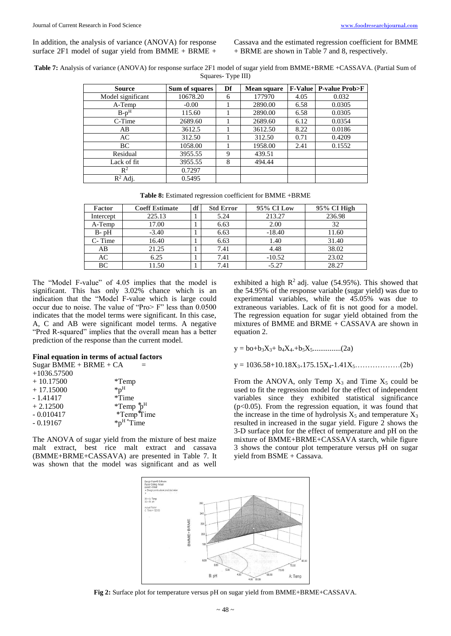In addition, the analysis of variance (ANOVA) for response surface 2F1 model of sugar yield from BMME + BRME +

Cassava and the estimated regression coefficient for BMME + BRME are shown in Table 7 and 8, respectively.

**Table 7:** Analysis of variance (ANOVA) for response surface 2F1 model of sugar yield from BMME+BRME +CASSAVA. (Partial Sum of Squares- Type III)

| Source            | Sum of squares | Df | <b>Mean square</b> |      | <b>F-Value   P-value Prob&gt;F</b> |
|-------------------|----------------|----|--------------------|------|------------------------------------|
| Model significant | 10678.20       | 6  | 177970             | 4.05 | 0.032                              |
| A-Temp            | $-0.00$        |    | 2890.00            | 6.58 | 0.0305                             |
| $B-pH$            | 115.60         |    | 2890.00            | 6.58 | 0.0305                             |
| C-Time            | 2689.60        |    | 2689.60            | 6.12 | 0.0354                             |
| AB                | 3612.5         |    | 3612.50            | 8.22 | 0.0186                             |
| AC                | 312.50         |    | 312.50             | 0.71 | 0.4209                             |
| BC                | 1058.00        |    | 1958.00            | 2.41 | 0.1552                             |
| Residual          | 3955.55        | 9  | 439.51             |      |                                    |
| Lack of fit       | 3955.55        | 8  | 494.44             |      |                                    |
| $\mathbb{R}^2$    | 0.7297         |    |                    |      |                                    |
| $R^2$ Adj.        | 0.5495         |    |                    |      |                                    |

**Table 8:** Estimated regression coefficient for BMME +BRME

| <b>Factor</b> | <b>Coeff Estimate</b> | df | <b>Std Error</b> | 95% CI Low | 95% CI High |  |
|---------------|-----------------------|----|------------------|------------|-------------|--|
| Intercept     | 225.13                |    | 5.24             | 213.27     | 236.98      |  |
| A-Temp        | 17.00                 |    | 6.63             | 2.00       | 32          |  |
| $B - pH$      | $-3.40$               |    | 6.63             | $-18.40$   | 11.60       |  |
| C-Time        | 16.40                 |    | 6.63             | 1.40       | 31.40       |  |
| AB            | 21.25                 |    | 7.41             | 4.48       | 38.02       |  |
| AC            | 6.25                  |    | 7.41             | $-10.52$   | 23.02       |  |
| BC            | 11.50                 |    | 7.41             | $-5.27$    | 28.27       |  |

The "Model F-value" of 4.05 implies that the model is significant. This has only 3.02% chance which is an indication that the "Model F-value which is large could occur due to noise. The value of "Pro> F" less than 0.0500 indicates that the model terms were significant. In this case, A, C and AB were significant model terms. A negative "Pred R-squared" implies that the overall mean has a better prediction of the response than the current model.

#### **Final equation in terms of actual factors**

| Sugar BMME + BRME + $CA$ |                           |                                 |
|--------------------------|---------------------------|---------------------------------|
| $+1036.57500$            |                           |                                 |
| $+10.17500$              | $*Temp$                   |                                 |
| $+17.15000$              | ${}^{\ast}p^{\mathrm{H}}$ |                                 |
| $-1.41417$               | *Time                     |                                 |
| $+2.12500$               |                           | *Temp $p^H$<br>*Temp $p^H$ Time |
| $-0.010417$              |                           |                                 |
| $-0.19167$               |                           | $*_{p}$ <sup>H</sup> $*$ Time   |
|                          |                           |                                 |

The ANOVA of sugar yield from the mixture of best maize malt extract, best rice malt extract and cassava (BMME+BRME+CASSAVA) are presented in Table 7. It was shown that the model was significant and as well

exhibited a high  $R^2$  adj. value (54.95%). This showed that the 54.95% of the response variable (sugar yield) was due to experimental variables, while the 45.05% was due to extraneous variables. Lack of fit is not good for a model. The regression equation for sugar yield obtained from the mixtures of BMME and BRME + CASSAVA are shown in equation 2.

y = bo+b3X3+ b4X4.+b5X5...............(2a)

 $y = 1036.58+10.18X_{3+}175.15X_{4-}1.41X_5\ldots\ldots\ldots(2b)$ 

From the ANOVA, only Temp  $X_3$  and Time  $X_5$  could be used to fit the regression model for the effect of independent variables since they exhibited statistical significance  $(p<0.05)$ . From the regression equation, it was found that the increase in the time of hydrolysis  $X_5$  and temperature  $X_3$ resulted in increased in the sugar yield. Figure 2 shows the 3-D surface plot for the effect of temperature and pH on the mixture of BMME+BRME+CASSAVA starch, while figure 3 shows the contour plot temperature versus pH on sugar yield from BSME + Cassava.



**Fig 2:** Surface plot for temperature versus pH on sugar yield from BMME+BRME+CASSAVA.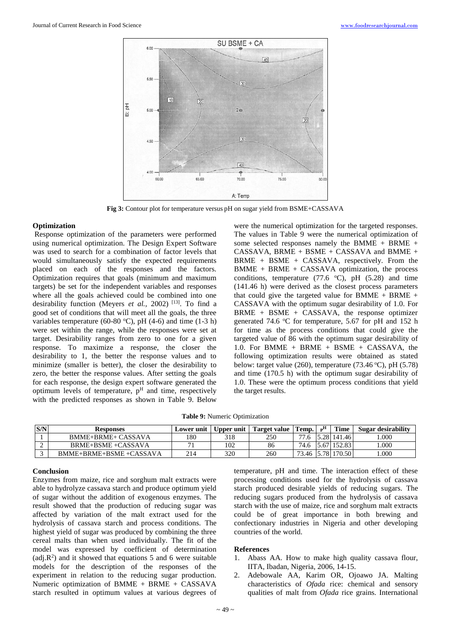

**Fig 3:** Contour plot for temperature versus pH on sugar yield from BSME+CASSAVA

## **Optimization**

Response optimization of the parameters were performed using numerical optimization. The Design Expert Software was used to search for a combination of factor levels that would simultaneously satisfy the expected requirements placed on each of the responses and the factors. Optimization requires that goals (minimum and maximum targets) be set for the independent variables and responses where all the goals achieved could be combined into one desirability function (Meyers *et al.*, 2002)<sup>[13]</sup>. To find a good set of conditions that will meet all the goals, the three variables temperature (60-80 °C), pH (4-6) and time (1-3 h) were set within the range, while the responses were set at target. Desirability ranges from zero to one for a given response. To maximize a response, the closer the desirability to 1, the better the response values and to minimize (smaller is better), the closer the desirability to zero, the better the response values. After setting the goals for each response, the design expert software generated the optimum levels of temperature,  $p<sup>H</sup>$  and time, respectively with the predicted responses as shown in Table 9. Below

were the numerical optimization for the targeted responses. The values in Table 9 were the numerical optimization of some selected responses namely the BMME + BRME + CASSAVA, BRME + BSME + CASSAVA and BMME + BRME + BSME + CASSAVA, respectively. From the  $BMME + BRME + CASSAVA$  optimization, the process conditions, temperature (77.6  $\degree$ C), pH (5.28) and time (141.46 h) were derived as the closest process parameters that could give the targeted value for BMME + BRME + CASSAVA with the optimum sugar desirability of 1.0. For  $BRME + BSME + CASSAVA$ , the response optimizer generated 74.6 °C for temperature, 5.67 for pH and 152 h for time as the process conditions that could give the targeted value of 86 with the optimum sugar desirability of 1.0. For BMME + BRME + BSME + CASSAVA, the following optimization results were obtained as stated below: target value (260), temperature (73.46  $\degree$ C), pH (5.78) and time (170.5 h) with the optimum sugar desirability of 1.0. These were the optimum process conditions that yield the target results.

| S/N | <b>Responses</b>       | Lower unit | Upper unit | Target value | Temp. | $H_{\rm m}$ | Time        | Sugar desirability |
|-----|------------------------|------------|------------|--------------|-------|-------------|-------------|--------------------|
|     | BMME+BRME+ CASSAVA     | 180        | 318        | 250          | די    |             | 5.28 141.46 | .000               |
|     | BRME+BSME+CASSAVA      |            | 102        | 86           | 74.6  |             | 152.83      | .000               |
|     | BMME+BRME+BSME+CASSAVA | 214        | 320        | 260          | 73.46 | 5.78        | 170.50      | .000.              |

## **Conclusion**

Enzymes from maize, rice and sorghum malt extracts were able to hydrolyze cassava starch and produce optimum yield of sugar without the addition of exogenous enzymes. The result showed that the production of reducing sugar was affected by variation of the malt extract used for the hydrolysis of cassava starch and process conditions. The highest yield of sugar was produced by combining the three cereal malts than when used individually. The fit of the model was expressed by coefficient of determination  $(\text{adj.}R^2)$  and it showed that equations 5 and 6 were suitable models for the description of the responses of the experiment in relation to the reducing sugar production. Numeric optimization of BMME + BRME + CASSAVA starch resulted in optimum values at various degrees of

temperature, pH and time. The interaction effect of these processing conditions used for the hydrolysis of cassava starch produced desirable yields of reducing sugars. The reducing sugars produced from the hydrolysis of cassava starch with the use of maize, rice and sorghum malt extracts could be of great importance in both brewing and confectionary industries in Nigeria and other developing countries of the world.

## **References**

- 1. Abass AA. How to make high quality cassava flour, IITA, Ibadan, Nigeria, 2006, 14-15.
- 2. Adebowale AA, Karim OR, Ojoawo JA. Malting characteristics of *Ofada* rice: chemical and sensory qualities of malt from *Ofada* rice grains. International